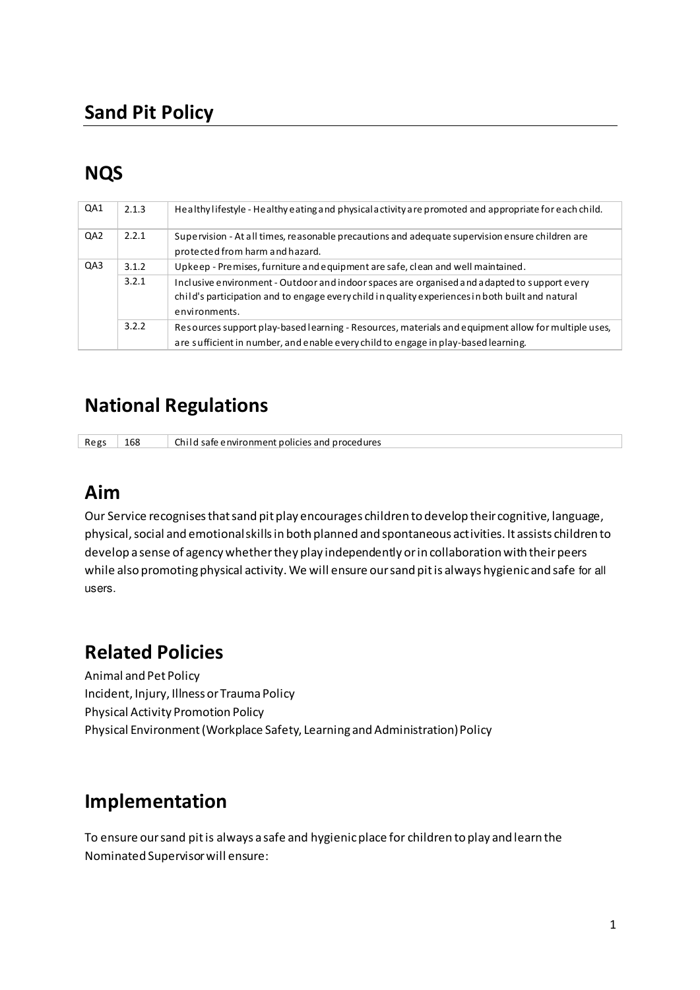## **Sand Pit Policy**

# **NQS**

| QA1             | 2.1.3 | Healthy lifestyle - Healthy eating and physical activity are promoted and appropriate for each child.                                                                                                             |
|-----------------|-------|-------------------------------------------------------------------------------------------------------------------------------------------------------------------------------------------------------------------|
| QA <sub>2</sub> | 2.2.1 | Supervision - At all times, reasonable precautions and adequate supervision ensure children are<br>protected from harm and hazard.                                                                                |
| QA3             | 3.1.2 | Upkeep - Premises, furniture and equipment are safe, clean and well maintained.                                                                                                                                   |
|                 | 3.2.1 | Inclusive environment - Outdoor and indoor spaces are organised and adapted to support every<br>child's participation and to engage every child in quality experiences in both built and natural<br>environments. |
|                 | 3.2.2 | Resources support play-based learning - Resources, materials and equipment allow for multiple uses,<br>are sufficient in number, and enable every child to engage in play-based learning.                         |

### **National Regulations**

Regs  $\vert$  168 Child safe environment policies and procedures

#### **Aim**

Our Service recognises that sand pit play encourages children to develop their cognitive, language, physical, social and emotional skills in both planned and spontaneous activities. It assists children to develop a sense of agency whether they play independently or in collaboration with their peers while also promoting physical activity. We will ensure our sand pit is always hygienic and safe for all users.

# **Related Policies**

Animal and Pet Policy Incident, Injury, Illness or Trauma Policy Physical Activity Promotion Policy Physical Environment (Workplace Safety, Learning and Administration) Policy

### **Implementation**

To ensure our sand pit is always a safe and hygienic place for children to play and learn the Nominated Supervisor will ensure: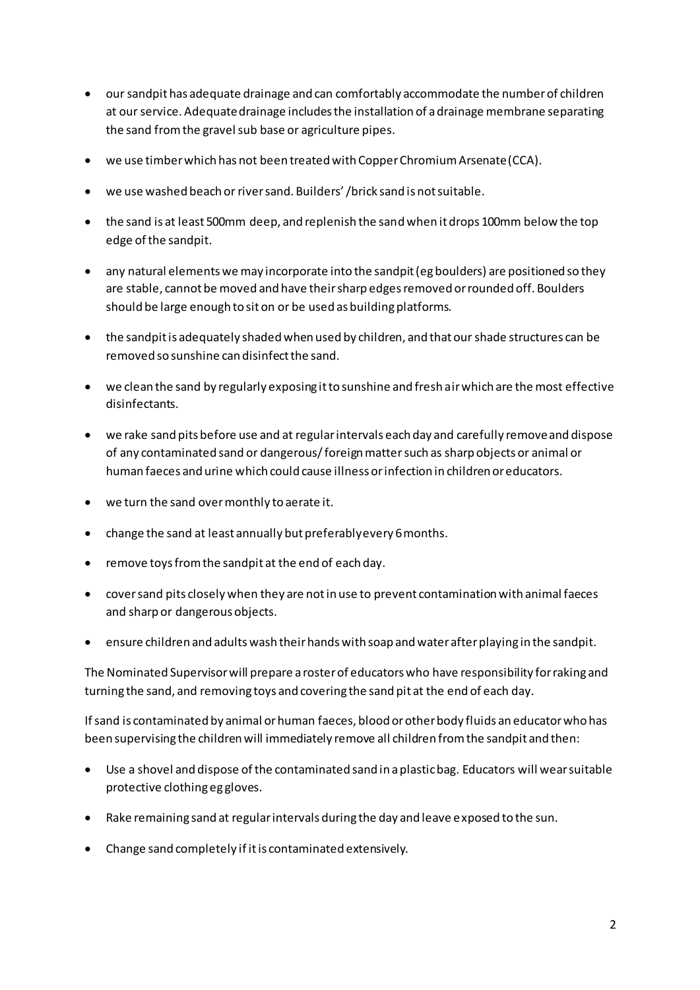- our sandpit has adequate drainage and can comfortably accommodate the number of children at our service. Adequate drainage includes the installation of a drainage membrane separating the sand from the gravel sub base or agriculture pipes.
- we use timber which has not been treated with Copper Chromium Arsenate (CCA).
- we use washed beach or river sand. Builders' /brick sand is not suitable.
- the sand is at least 500mm deep, and replenish the sand when it drops 100mm below the top edge of the sandpit.
- any natural elements we may incorporate into the sandpit (eg boulders) are positioned so they are stable, cannot be moved and have their sharp edges removed or rounded off. Boulders should be large enough to sit on or be used as building platforms.
- the sandpit is adequately shaded when used by children, and that our shade structures can be removed so sunshine can disinfect the sand.
- we clean the sand by regularly exposing it to sunshine and fresh air which are the most effective disinfectants.
- we rake sand pits before use and at regular intervals each day and carefully remove and dispose of any contaminated sand or dangerous/ foreign matter such as sharp objects or animal or human faeces and urine which could cause illness or infection in children or educators.
- we turn the sand over monthly to aerate it.
- change the sand at least annually but preferably every 6 months.
- remove toys from the sandpit at the end of each day.
- cover sand pits closely when they are not in use to prevent contamination with animal faeces and sharp or dangerous objects.
- ensure children and adults wash their hands with soap and water after playing in the sandpit.

The Nominated Supervisor will prepare a roster of educators who have responsibility for raking and turning the sand, and removing toys and covering the sand pit at the end of each day.

If sand is contaminated by animal or human faeces, blood or other body fluids an educator who has been supervising the children will immediately remove all children from the sandpit and then:

- Use a shovel and dispose of the contaminated sand in a plastic bag. Educators will wear suitable protective clothing eg gloves.
- Rake remaining sand at regular intervals during the day and leave exposed to the sun.
- Change sand completely if it is contaminated extensively.